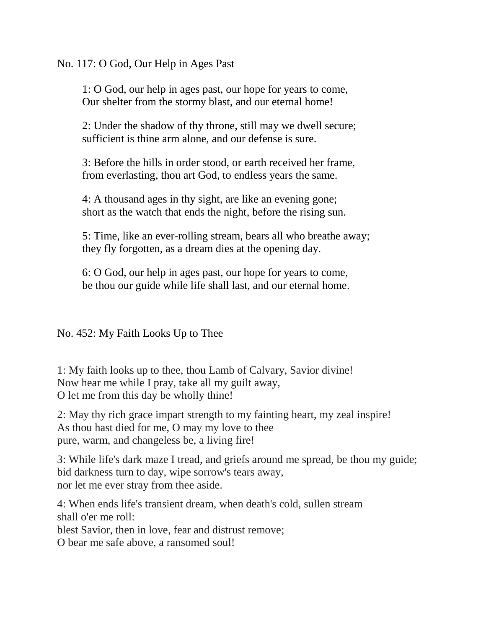No. 117: O God, Our Help in Ages Past

1: O God, our help in ages past, our hope for years to come, Our shelter from the stormy blast, and our eternal home!

2: Under the shadow of thy throne, still may we dwell secure; sufficient is thine arm alone, and our defense is sure.

3: Before the hills in order stood, or earth received her frame, from everlasting, thou art God, to endless years the same.

4: A thousand ages in thy sight, are like an evening gone; short as the watch that ends the night, before the rising sun.

5: Time, like an ever-rolling stream, bears all who breathe away; they fly forgotten, as a dream dies at the opening day.

6: O God, our help in ages past, our hope for years to come, be thou our guide while life shall last, and our eternal home.

No. 452: My Faith Looks Up to Thee

1: My faith looks up to thee, thou Lamb of Calvary, Savior divine! Now hear me while I pray, take all my guilt away, O let me from this day be wholly thine!

2: May thy rich grace impart strength to my fainting heart, my zeal inspire! As thou hast died for me, O may my love to thee pure, warm, and changeless be, a living fire!

3: While life's dark maze I tread, and griefs around me spread, be thou my guide; bid darkness turn to day, wipe sorrow's tears away, nor let me ever stray from thee aside.

4: When ends life's transient dream, when death's cold, sullen stream shall o'er me roll: blest Savior, then in love, fear and distrust remove; O bear me safe above, a ransomed soul!